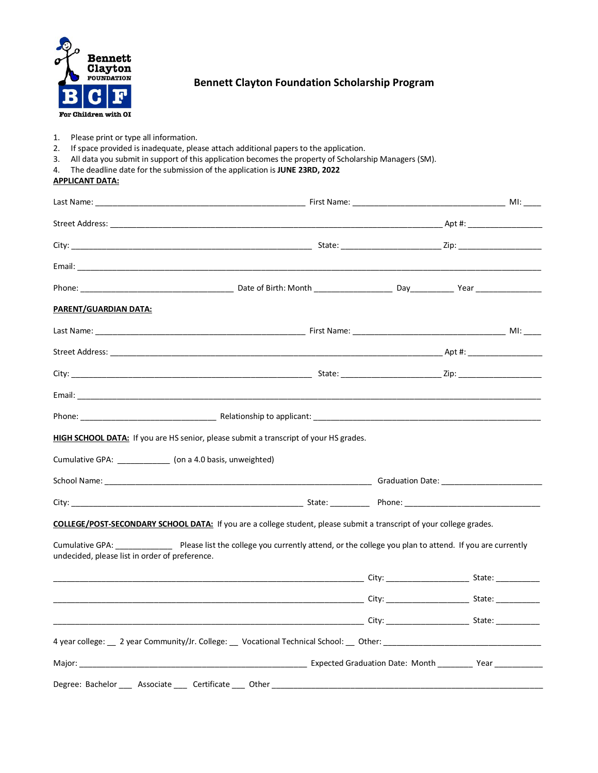

**APPLICANT DATA:**

## **Bennett Clayton Foundation Scholarship Program**

- 1. Please print or type all information.
- 2. If space provided is inadequate, please attach additional papers to the application.
- 3. All data you submit in support of this application becomes the property of Scholarship Managers (SM).
- 4. The deadline date for the submission of the application is **JUNE 23RD, 2022**

| <u>PARENT/GUARDIAN DATA:</u>                                                                                                                                                                                                    |                                                                                                                                                                                                                               |  |  |
|---------------------------------------------------------------------------------------------------------------------------------------------------------------------------------------------------------------------------------|-------------------------------------------------------------------------------------------------------------------------------------------------------------------------------------------------------------------------------|--|--|
|                                                                                                                                                                                                                                 |                                                                                                                                                                                                                               |  |  |
|                                                                                                                                                                                                                                 |                                                                                                                                                                                                                               |  |  |
|                                                                                                                                                                                                                                 |                                                                                                                                                                                                                               |  |  |
|                                                                                                                                                                                                                                 |                                                                                                                                                                                                                               |  |  |
|                                                                                                                                                                                                                                 |                                                                                                                                                                                                                               |  |  |
|                                                                                                                                                                                                                                 |                                                                                                                                                                                                                               |  |  |
|                                                                                                                                                                                                                                 | <b>HIGH SCHOOL DATA:</b> If you are HS senior, please submit a transcript of your HS grades.                                                                                                                                  |  |  |
|                                                                                                                                                                                                                                 |                                                                                                                                                                                                                               |  |  |
|                                                                                                                                                                                                                                 |                                                                                                                                                                                                                               |  |  |
|                                                                                                                                                                                                                                 | COLLEGE/POST-SECONDARY SCHOOL DATA: If you are a college student, please submit a transcript of your college grades.                                                                                                          |  |  |
|                                                                                                                                                                                                                                 | Please list the college you currently attend, or the college you plan to attend. If you are currently                                                                                                                         |  |  |
|                                                                                                                                                                                                                                 |                                                                                                                                                                                                                               |  |  |
| Cumulative GPA: ______________ (on a 4.0 basis, unweighted)<br>Cumulative GPA: North Communist Communist Communist Communist Communist Communist Communist Communist Communis<br>undecided, please list in order of preference. |                                                                                                                                                                                                                               |  |  |
|                                                                                                                                                                                                                                 |                                                                                                                                                                                                                               |  |  |
|                                                                                                                                                                                                                                 | 4 year college: 2 year Community/Jr. College: 2 Vocational Technical School: 2 Other: 2 2 year college: 2 year Community/Jr. College: 2 Vocational Technical School: 2 Other: 2 2 year 2 2 2 year 2 2 2 year 2 2 2 year 2 2 2 |  |  |